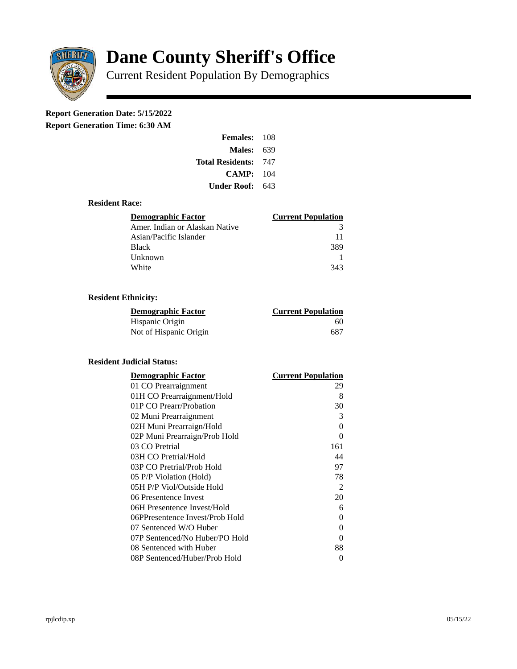

# **Dane County Sheriff's Office**

Current Resident Population By Demographics

# **Report Generation Date: 5/15/2022**

**Report Generation Time: 6:30 AM** 

| <b>Females: 108</b>         |     |
|-----------------------------|-----|
| Males:                      | 639 |
| <b>Total Residents: 747</b> |     |
| CAMP: 104                   |     |
| <b>Under Roof: 643</b>      |     |

### **Resident Race:**

| <b>Demographic Factor</b>      | <b>Current Population</b> |
|--------------------------------|---------------------------|
| Amer. Indian or Alaskan Native | २                         |
| Asian/Pacific Islander         | 11                        |
| <b>Black</b>                   | 389                       |
| Unknown                        |                           |
| White                          | 343                       |

## **Resident Ethnicity:**

| Demographic Factor     | <b>Current Population</b> |
|------------------------|---------------------------|
| Hispanic Origin        | 60                        |
| Not of Hispanic Origin | 687                       |

# **Resident Judicial Status:**

| <b>Demographic Factor</b>       | <b>Current Population</b> |
|---------------------------------|---------------------------|
| 01 CO Prearraignment            | 29                        |
| 01H CO Prearraignment/Hold      | 8                         |
| 01P CO Prearr/Probation         | 30                        |
| 02 Muni Prearraignment          | 3                         |
| 02H Muni Prearraign/Hold        | 0                         |
| 02P Muni Prearraign/Prob Hold   | 0                         |
| 03 CO Pretrial                  | 161                       |
| 03H CO Pretrial/Hold            | 44                        |
| 03P CO Pretrial/Prob Hold       | 97                        |
| 05 P/P Violation (Hold)         | 78                        |
| 05H P/P Viol/Outside Hold       | 2                         |
| 06 Presentence Invest           | 20                        |
| 06H Presentence Invest/Hold     | 6                         |
| 06PPresentence Invest/Prob Hold | 0                         |
| 07 Sentenced W/O Huber          | 0                         |
| 07P Sentenced/No Huber/PO Hold  | 0                         |
| 08 Sentenced with Huber         | 88                        |
| 08P Sentenced/Huber/Prob Hold   | 0                         |